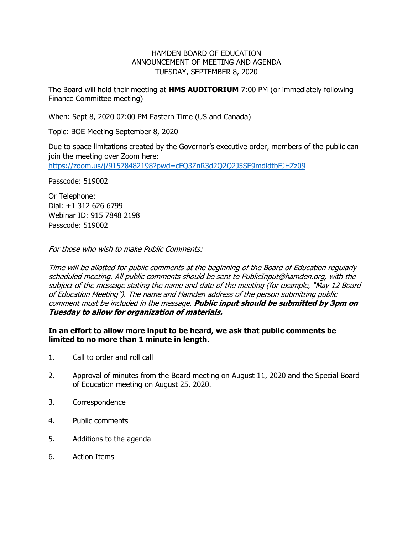## HAMDEN BOARD OF EDUCATION ANNOUNCEMENT OF MEETING AND AGENDA TUESDAY, SEPTEMBER 8, 2020

The Board will hold their meeting at **HMS AUDITORIUM** 7:00 PM (or immediately following Finance Committee meeting)

When: Sept 8, 2020 07:00 PM Eastern Time (US and Canada)

Topic: BOE Meeting September 8, 2020

Due to space limitations created by the Governor's executive order, members of the public can join the meeting over Zoom here: <https://zoom.us/j/91578482198?pwd=cFQ3ZnR3d2Q2Q2J5SE9mdldtbFJHZz09>

Passcode: 519002

Or Telephone: Dial: +1 312 626 6799 Webinar ID: 915 7848 2198 Passcode: 519002

For those who wish to make Public Comments:

Time will be allotted for public comments at the beginning of the Board of Education regularly scheduled meeting. All public comments should be sent to PublicInput@hamden.org, with the subject of the message stating the name and date of the meeting (for example, "May 12 Board of Education Meeting"). The name and Hamden address of the person submitting public comment must be included in the message. **Public input should be submitted by 3pm on Tuesday to allow for organization of materials.**

## **In an effort to allow more input to be heard, we ask that public comments be limited to no more than 1 minute in length.**

- 1. Call to order and roll call
- 2. Approval of minutes from the Board meeting on August 11, 2020 and the Special Board of Education meeting on August 25, 2020.
- 3. Correspondence
- 4. Public comments
- 5. Additions to the agenda
- 6. Action Items